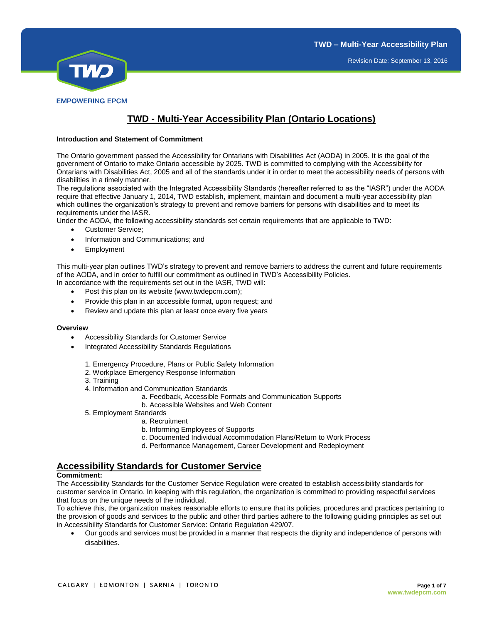

# **TWD - Multi-Year Accessibility Plan (Ontario Locations)**

#### **Introduction and Statement of Commitment**

The Ontario government passed the Accessibility for Ontarians with Disabilities Act (AODA) in 2005. It is the goal of the government of Ontario to make Ontario accessible by 2025. TWD is committed to complying with the Accessibility for Ontarians with Disabilities Act, 2005 and all of the standards under it in order to meet the accessibility needs of persons with disabilities in a timely manner.

The regulations associated with the Integrated Accessibility Standards (hereafter referred to as the "IASR") under the AODA require that effective January 1, 2014, TWD establish, implement, maintain and document a multi-year accessibility plan which outlines the organization's strategy to prevent and remove barriers for persons with disabilities and to meet its requirements under the IASR.

Under the AODA, the following accessibility standards set certain requirements that are applicable to TWD:

- Customer Service;
- Information and Communications; and
- Employment

This multi-year plan outlines TWD's strategy to prevent and remove barriers to address the current and future requirements of the AODA, and in order to fulfill our commitment as outlined in TWD's Accessibility Policies.

- In accordance with the requirements set out in the IASR, TWD will:
	- Post this plan on its website (www.twdepcm.com);
	- Provide this plan in an accessible format, upon request; and
	- Review and update this plan at least once every five years

#### **Overview**

- Accessibility Standards for Customer Service
- Integrated Accessibility Standards Regulations
	- 1. Emergency Procedure, Plans or Public Safety Information
	- 2. Workplace Emergency Response Information
	- 3. Training
	- 4. Information and Communication Standards
		- a. Feedback, Accessible Formats and Communication Supports
		- b. Accessible Websites and Web Content
	- 5. Employment Standards
		- a. Recruitment
		- b. Informing Employees of Supports
		- c. Documented Individual Accommodation Plans/Return to Work Process
		- d. Performance Management, Career Development and Redeployment

## **Accessibility Standards for Customer Service**

#### **Commitment:**

The Accessibility Standards for the Customer Service Regulation were created to establish accessibility standards for customer service in Ontario. In keeping with this regulation, the organization is committed to providing respectful services that focus on the unique needs of the individual.

To achieve this, the organization makes reasonable efforts to ensure that its policies, procedures and practices pertaining to the provision of goods and services to the public and other third parties adhere to the following guiding principles as set out in Accessibility Standards for Customer Service: Ontario Regulation 429/07.

 Our goods and services must be provided in a manner that respects the dignity and independence of persons with disabilities.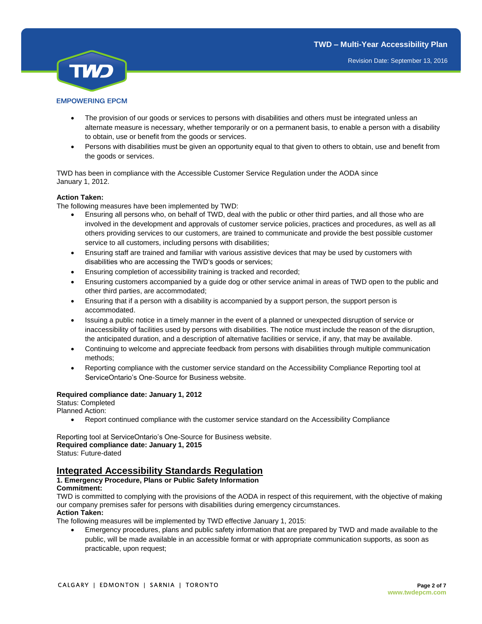

## The provision of our goods or services to persons with disabilities and others must be integrated unless an alternate measure is necessary, whether temporarily or on a permanent basis, to enable a person with a disability to obtain, use or benefit from the goods or services.

 Persons with disabilities must be given an opportunity equal to that given to others to obtain, use and benefit from the goods or services.

TWD has been in compliance with the Accessible Customer Service Regulation under the AODA since January 1, 2012.

## **Action Taken:**

The following measures have been implemented by TWD:

- Ensuring all persons who, on behalf of TWD, deal with the public or other third parties, and all those who are involved in the development and approvals of customer service policies, practices and procedures, as well as all others providing services to our customers, are trained to communicate and provide the best possible customer service to all customers, including persons with disabilities;
- Ensuring staff are trained and familiar with various assistive devices that may be used by customers with disabilities who are accessing the TWD's goods or services;
- **Ensuring completion of accessibility training is tracked and recorded;**
- Ensuring customers accompanied by a guide dog or other service animal in areas of TWD open to the public and other third parties, are accommodated;
- Ensuring that if a person with a disability is accompanied by a support person, the support person is accommodated.
- Issuing a public notice in a timely manner in the event of a planned or unexpected disruption of service or inaccessibility of facilities used by persons with disabilities. The notice must include the reason of the disruption, the anticipated duration, and a description of alternative facilities or service, if any, that may be available.
- Continuing to welcome and appreciate feedback from persons with disabilities through multiple communication methods;
- Reporting compliance with the customer service standard on the Accessibility Compliance Reporting tool at ServiceOntario's One-Source for Business website.

## **Required compliance date: January 1, 2012**

Status: Completed Planned Action:

Report continued compliance with the customer service standard on the Accessibility Compliance

Reporting tool at ServiceOntario's One-Source for Business website. **Required compliance date: January 1, 2015**  Status: Future-dated

# **Integrated Accessibility Standards Regulation**

### **1. Emergency Procedure, Plans or Public Safety Information Commitment:**

TWD is committed to complying with the provisions of the AODA in respect of this requirement, with the objective of making our company premises safer for persons with disabilities during emergency circumstances. **Action Taken:**

The following measures will be implemented by TWD effective January 1, 2015:

 Emergency procedures, plans and public safety information that are prepared by TWD and made available to the public, will be made available in an accessible format or with appropriate communication supports, as soon as practicable, upon request;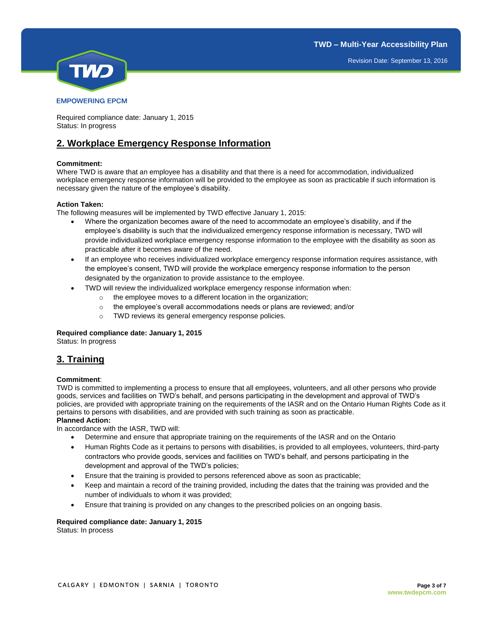

Required compliance date: January 1, 2015 Status: In progress

# **2. Workplace Emergency Response Information**

## **Commitment:**

Where TWD is aware that an employee has a disability and that there is a need for accommodation, individualized workplace emergency response information will be provided to the employee as soon as practicable if such information is necessary given the nature of the employee's disability.

## **Action Taken:**

The following measures will be implemented by TWD effective January 1, 2015:

- Where the organization becomes aware of the need to accommodate an employee's disability, and if the employee's disability is such that the individualized emergency response information is necessary, TWD will provide individualized workplace emergency response information to the employee with the disability as soon as practicable after it becomes aware of the need.
- If an employee who receives individualized workplace emergency response information requires assistance, with the employee's consent, TWD will provide the workplace emergency response information to the person designated by the organization to provide assistance to the employee.
- TWD will review the individualized workplace emergency response information when:
	- o the employee moves to a different location in the organization;
	- $\circ$  the employee's overall accommodations needs or plans are reviewed; and/or
	- o TWD reviews its general emergency response policies.

## **Required compliance date: January 1, 2015**

Status: In progress

# **3. Training**

## **Commitment**:

TWD is committed to implementing a process to ensure that all employees, volunteers, and all other persons who provide goods, services and facilities on TWD's behalf, and persons participating in the development and approval of TWD's policies, are provided with appropriate training on the requirements of the IASR and on the Ontario Human Rights Code as it pertains to persons with disabilities, and are provided with such training as soon as practicable. **Planned Action:**

In accordance with the IASR, TWD will:

- Determine and ensure that appropriate training on the requirements of the IASR and on the Ontario
- Human Rights Code as it pertains to persons with disabilities, is provided to all employees, volunteers, third-party contractors who provide goods, services and facilities on TWD's behalf, and persons participating in the development and approval of the TWD's policies;
- Ensure that the training is provided to persons referenced above as soon as practicable;
- Keep and maintain a record of the training provided, including the dates that the training was provided and the number of individuals to whom it was provided;
- Ensure that training is provided on any changes to the prescribed policies on an ongoing basis.

## **Required compliance date: January 1, 2015**

Status: In process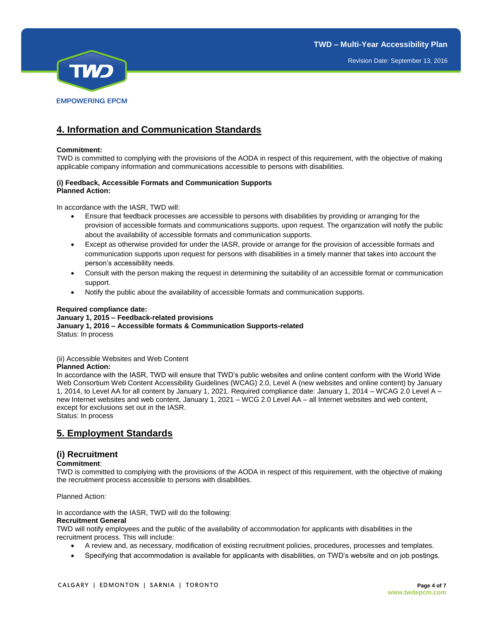

# **4. Information and Communication Standards**

## **Commitment:**

TWD is committed to complying with the provisions of the AODA in respect of this requirement, with the objective of making applicable company information and communications accessible to persons with disabilities.

## **(i) Feedback, Accessible Formats and Communication Supports Planned Action:**

In accordance with the IASR, TWD will:

- Ensure that feedback processes are accessible to persons with disabilities by providing or arranging for the provision of accessible formats and communications supports, upon request. The organization will notify the public about the availability of accessible formats and communication supports.
- Except as otherwise provided for under the IASR, provide or arrange for the provision of accessible formats and communication supports upon request for persons with disabilities in a timely manner that takes into account the person's accessibility needs.
- Consult with the person making the request in determining the suitability of an accessible format or communication support.
- Notify the public about the availability of accessible formats and communication supports.

### **Required compliance date:**

## **January 1, 2015 – Feedback-related provisions January 1, 2016 – Accessible formats & Communication Supports-related**  Status: In process

#### (ii) Accessible Websites and Web Content

#### **Planned Action:**

In accordance with the IASR, TWD will ensure that TWD's public websites and online content conform with the World Wide Web Consortium Web Content Accessibility Guidelines (WCAG) 2.0, Level A (new websites and online content) by January 1, 2014, to Level AA for all content by January 1, 2021. Required compliance date: January 1, 2014 – WCAG 2.0 Level A – new Internet websites and web content, January 1, 2021 – WCG 2.0 Level AA – all Internet websites and web content, except for exclusions set out in the IASR.

Status: In process

# **5. Employment Standards**

## **(i) Recruitment**

## **Commitment**:

TWD is committed to complying with the provisions of the AODA in respect of this requirement, with the objective of making the recruitment process accessible to persons with disabilities.

Planned Action:

In accordance with the IASR, TWD will do the following:

## **Recruitment General**

TWD will notify employees and the public of the availability of accommodation for applicants with disabilities in the recruitment process. This will include:

- A review and, as necessary, modification of existing recruitment policies, procedures, processes and templates.
- Specifying that accommodation is available for applicants with disabilities, on TWD's website and on job postings.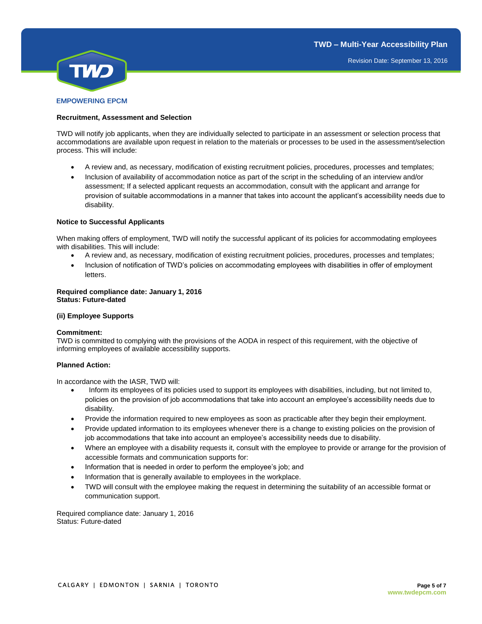

### **Recruitment, Assessment and Selection**

TWD will notify job applicants, when they are individually selected to participate in an assessment or selection process that accommodations are available upon request in relation to the materials or processes to be used in the assessment/selection process. This will include:

- A review and, as necessary, modification of existing recruitment policies, procedures, processes and templates;
- Inclusion of availability of accommodation notice as part of the script in the scheduling of an interview and/or assessment; If a selected applicant requests an accommodation, consult with the applicant and arrange for provision of suitable accommodations in a manner that takes into account the applicant's accessibility needs due to disability.

#### **Notice to Successful Applicants**

When making offers of employment, TWD will notify the successful applicant of its policies for accommodating employees with disabilities. This will include:

- A review and, as necessary, modification of existing recruitment policies, procedures, processes and templates;
- Inclusion of notification of TWD's policies on accommodating employees with disabilities in offer of employment letters.

#### **Required compliance date: January 1, 2016 Status: Future-dated**

### **(ii) Employee Supports**

## **Commitment:**

TWD is committed to complying with the provisions of the AODA in respect of this requirement, with the objective of informing employees of available accessibility supports.

#### **Planned Action:**

In accordance with the IASR, TWD will:

- Inform its employees of its policies used to support its employees with disabilities, including, but not limited to, policies on the provision of job accommodations that take into account an employee's accessibility needs due to disability.
- Provide the information required to new employees as soon as practicable after they begin their employment.
- Provide updated information to its employees whenever there is a change to existing policies on the provision of job accommodations that take into account an employee's accessibility needs due to disability.
- Where an employee with a disability requests it, consult with the employee to provide or arrange for the provision of accessible formats and communication supports for:
- Information that is needed in order to perform the employee's job; and
- Information that is generally available to employees in the workplace.
- TWD will consult with the employee making the request in determining the suitability of an accessible format or communication support.

Required compliance date: January 1, 2016 Status: Future-dated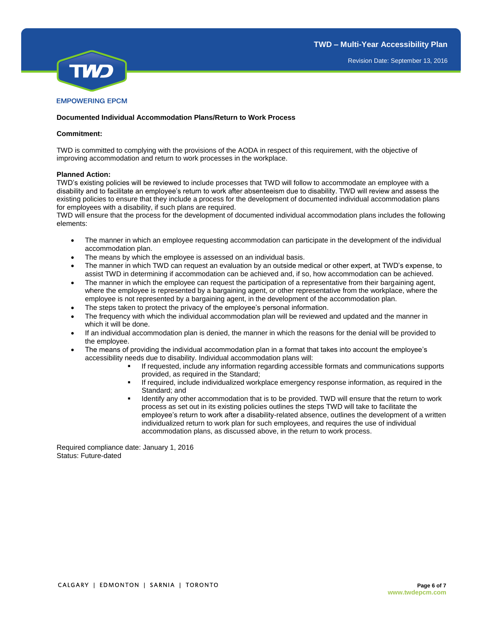

## **Documented Individual Accommodation Plans/Return to Work Process**

#### **Commitment:**

TWD is committed to complying with the provisions of the AODA in respect of this requirement, with the objective of improving accommodation and return to work processes in the workplace.

#### **Planned Action:**

TWD's existing policies will be reviewed to include processes that TWD will follow to accommodate an employee with a disability and to facilitate an employee's return to work after absenteeism due to disability. TWD will review and assess the existing policies to ensure that they include a process for the development of documented individual accommodation plans for employees with a disability, if such plans are required.

TWD will ensure that the process for the development of documented individual accommodation plans includes the following elements:

- The manner in which an employee requesting accommodation can participate in the development of the individual accommodation plan.
- The means by which the employee is assessed on an individual basis.
- The manner in which TWD can request an evaluation by an outside medical or other expert, at TWD's expense, to assist TWD in determining if accommodation can be achieved and, if so, how accommodation can be achieved.
- The manner in which the employee can request the participation of a representative from their bargaining agent, where the employee is represented by a bargaining agent, or other representative from the workplace, where the employee is not represented by a bargaining agent, in the development of the accommodation plan.
- The steps taken to protect the privacy of the employee's personal information.
- The frequency with which the individual accommodation plan will be reviewed and updated and the manner in which it will be done.
- If an individual accommodation plan is denied, the manner in which the reasons for the denial will be provided to the employee.
- The means of providing the individual accommodation plan in a format that takes into account the employee's accessibility needs due to disability. Individual accommodation plans will:
	- If requested, include any information regarding accessible formats and communications supports provided, as required in the Standard;
	- If required, include individualized workplace emergency response information, as required in the Standard; and
	- Identify any other accommodation that is to be provided. TWD will ensure that the return to work process as set out in its existing policies outlines the steps TWD will take to facilitate the employee's return to work after a disability-related absence, outlines the development of a written individualized return to work plan for such employees, and requires the use of individual accommodation plans, as discussed above, in the return to work process.

Required compliance date: January 1, 2016 Status: Future-dated